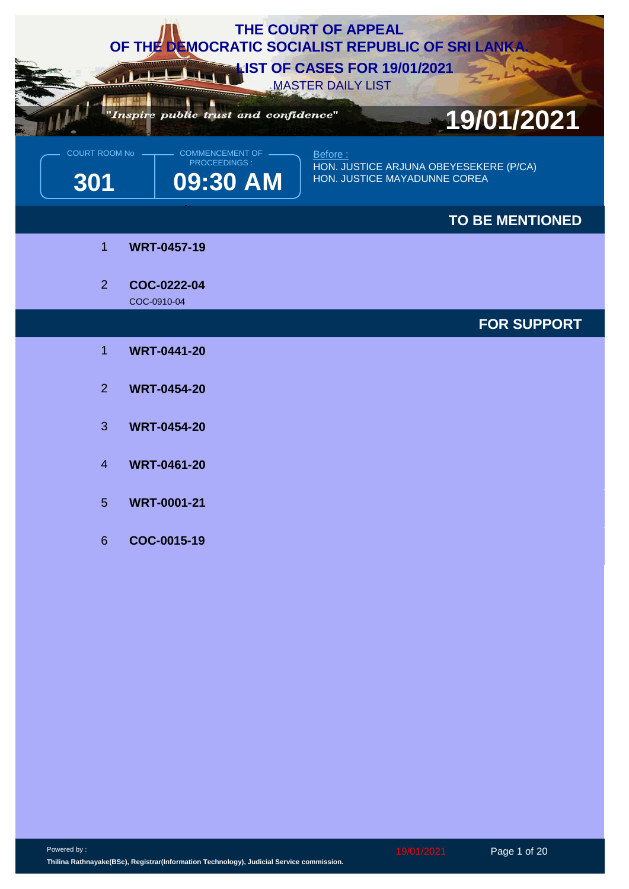| THE COURT OF APPEAL<br>OF THE DEMOCRATIC SOCIALIST REPUBLIC OF SRI LANKA<br><b>LIST OF CASES FOR 19/01/2021</b> |                                                           |                                                                                   |  |  |
|-----------------------------------------------------------------------------------------------------------------|-----------------------------------------------------------|-----------------------------------------------------------------------------------|--|--|
|                                                                                                                 | Inspire public trust and confidence"                      | <b>MASTER DAILY LIST</b><br>19/01/2021                                            |  |  |
| COURT ROOM No<br>301                                                                                            | <b>COMMENCEMENT OF</b><br><b>PROCEEDINGS:</b><br>09:30 AM | Before:<br>HON. JUSTICE ARJUNA OBEYESEKERE (P/CA)<br>HON. JUSTICE MAYADUNNE COREA |  |  |
|                                                                                                                 |                                                           | <b>TO BE MENTIONED</b>                                                            |  |  |
| 1                                                                                                               | <b>WRT-0457-19</b>                                        |                                                                                   |  |  |
| 2 <sup>1</sup>                                                                                                  | COC-0222-04<br>COC-0910-04                                |                                                                                   |  |  |
|                                                                                                                 |                                                           | <b>FOR SUPPORT</b>                                                                |  |  |
| $\mathbf 1$                                                                                                     | <b>WRT-0441-20</b>                                        |                                                                                   |  |  |
| 2                                                                                                               | <b>WRT-0454-20</b>                                        |                                                                                   |  |  |
| 3                                                                                                               | <b>WRT-0454-20</b>                                        |                                                                                   |  |  |
| $\overline{4}$                                                                                                  | <b>WRT-0461-20</b>                                        |                                                                                   |  |  |
| 5 <sup>5</sup>                                                                                                  | <b>WRT-0001-21</b>                                        |                                                                                   |  |  |
| 6 <sup>°</sup>                                                                                                  | COC-0015-19                                               |                                                                                   |  |  |
|                                                                                                                 |                                                           |                                                                                   |  |  |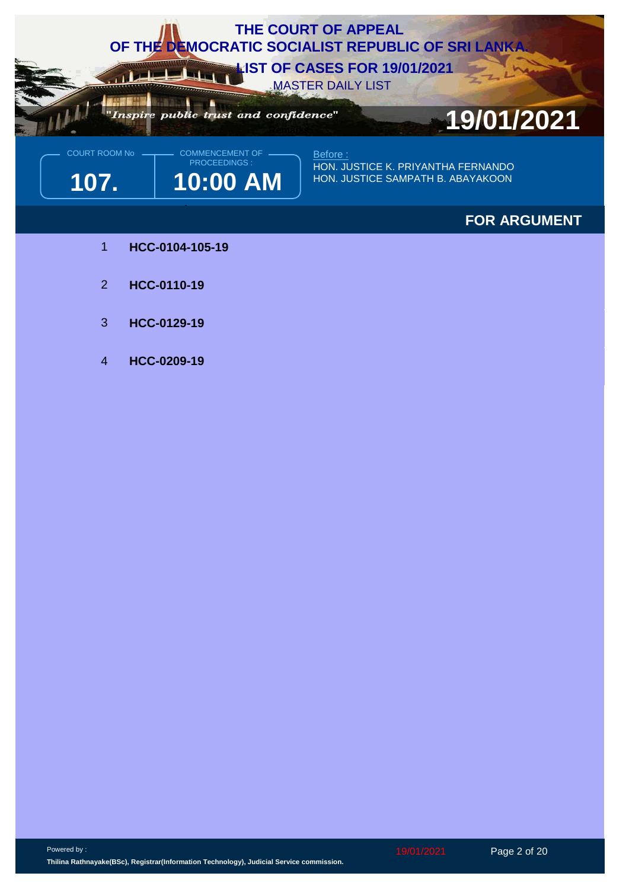

**107. 10:00 AM** PROCEEDINGS :

HON. JUSTICE K. PRIYANTHA FERNANDO HON. JUSTICE SAMPATH B. ABAYAKOON

## **FOR ARGUMENT**

- 1 **HCC-0104-105-19**
- 2 **HCC-0110-19**
- 3 **HCC-0129-19**
- 4 **HCC-0209-19**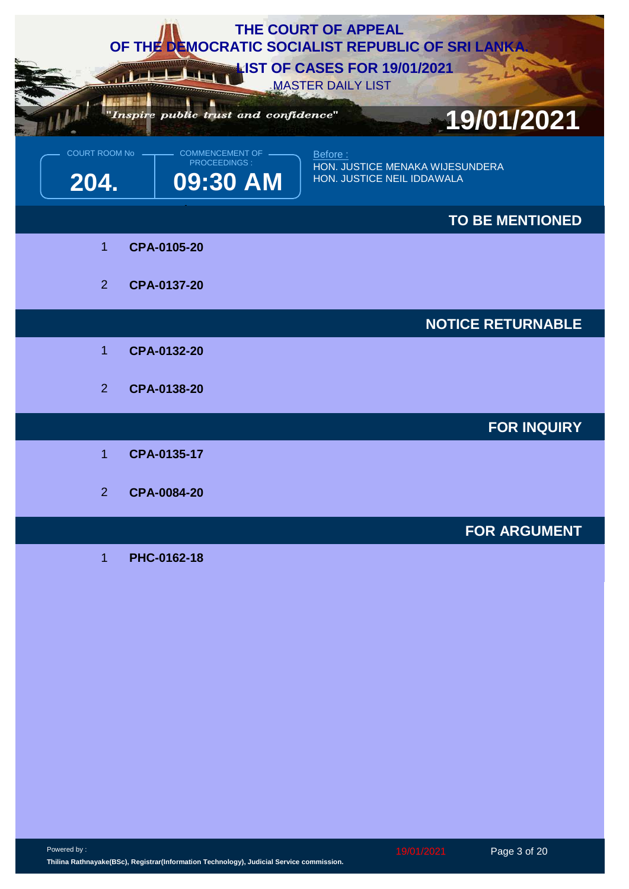| THE COURT OF APPEAL<br>OF THE DEMOCRATIC SOCIALIST REPUBLIC OF SRI LANKA<br><b>LIST OF CASES FOR 19/01/2021</b><br><b>MASTER DAILY LIST</b> |                                                           |                                                                          |  |  |
|---------------------------------------------------------------------------------------------------------------------------------------------|-----------------------------------------------------------|--------------------------------------------------------------------------|--|--|
|                                                                                                                                             | Inspire public trust and confidence"                      | 19/01/2021                                                               |  |  |
| COURT ROOM No -<br>204.                                                                                                                     | <b>COMMENCEMENT OF</b><br><b>PROCEEDINGS:</b><br>09:30 AM | Before:<br>HON. JUSTICE MENAKA WIJESUNDERA<br>HON. JUSTICE NEIL IDDAWALA |  |  |
|                                                                                                                                             |                                                           | <b>TO BE MENTIONED</b>                                                   |  |  |
| 1                                                                                                                                           | CPA-0105-20                                               |                                                                          |  |  |
| $\overline{2}$                                                                                                                              | CPA-0137-20                                               |                                                                          |  |  |
|                                                                                                                                             |                                                           | <b>NOTICE RETURNABLE</b>                                                 |  |  |
| 1                                                                                                                                           | CPA-0132-20                                               |                                                                          |  |  |
| 2                                                                                                                                           | CPA-0138-20                                               |                                                                          |  |  |
|                                                                                                                                             |                                                           | <b>FOR INQUIRY</b>                                                       |  |  |
| 1                                                                                                                                           | CPA-0135-17                                               |                                                                          |  |  |
| $\overline{2}$                                                                                                                              | CPA-0084-20                                               |                                                                          |  |  |
|                                                                                                                                             |                                                           | <b>FOR ARGUMENT</b>                                                      |  |  |
| $\mathbf 1$                                                                                                                                 | PHC-0162-18                                               |                                                                          |  |  |

Powered by : **Thilina Rathnayake(BSc), Registrar(Information Technology), Judicial Service commission.**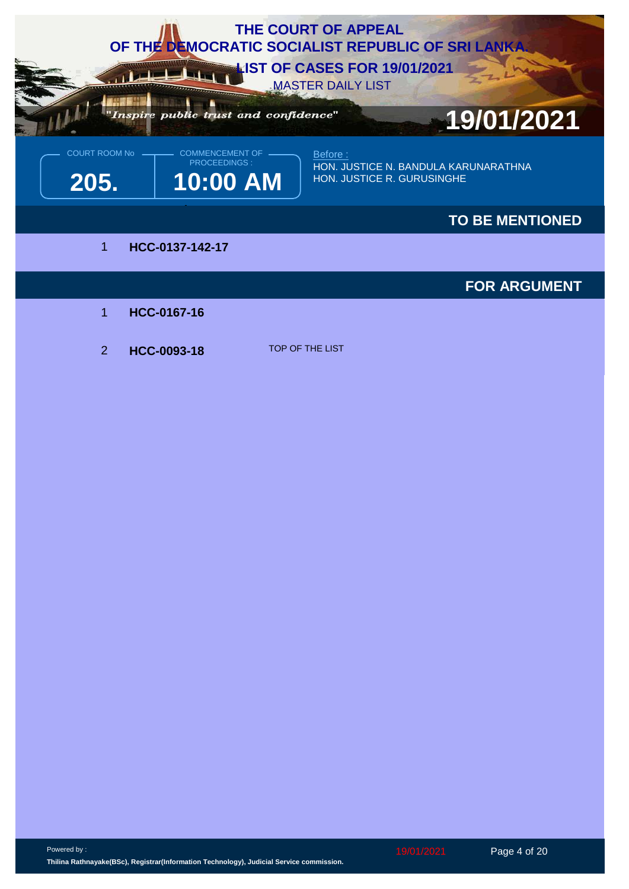

2 **HCC-0093-18** TOP OF THE LIST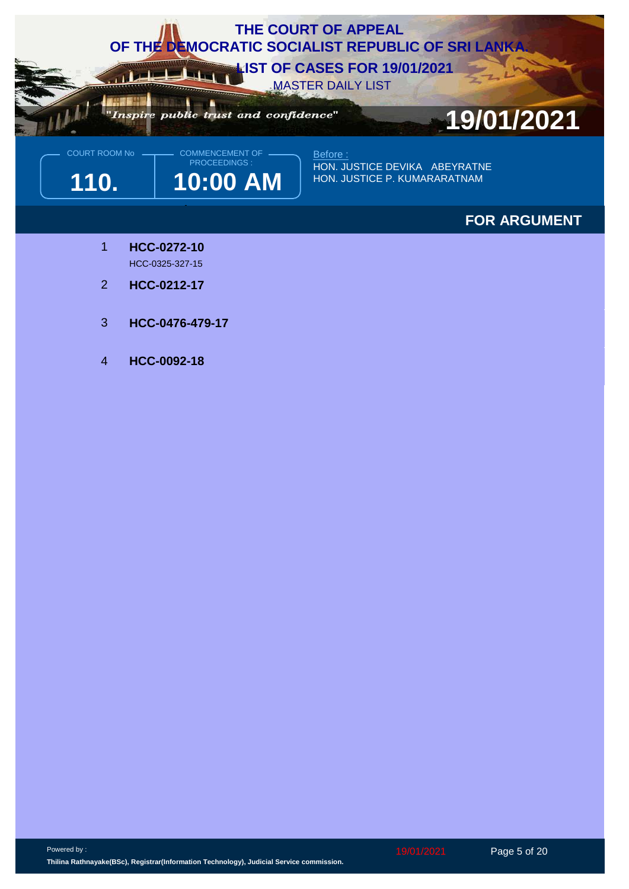

**110. 10:00 AM** PROCEEDINGS :

Before : HON. JUSTICE DEVIKA ABEYRATNE HON. JUSTICE P. KUMARARATNAM

## **FOR ARGUMENT**

- **HCC-0272-10** HCC-0325-327-15 1
- 2 **HCC-0212-17**
- 3 **HCC-0476-479-17**
- 4 **HCC-0092-18**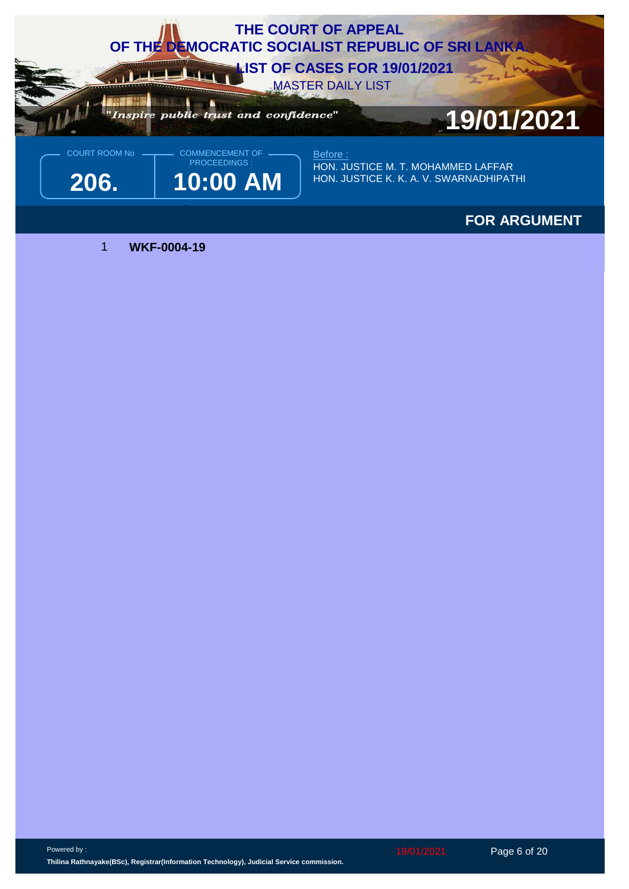

## **FOR ARGUMENT**

1 **WKF-0004-19**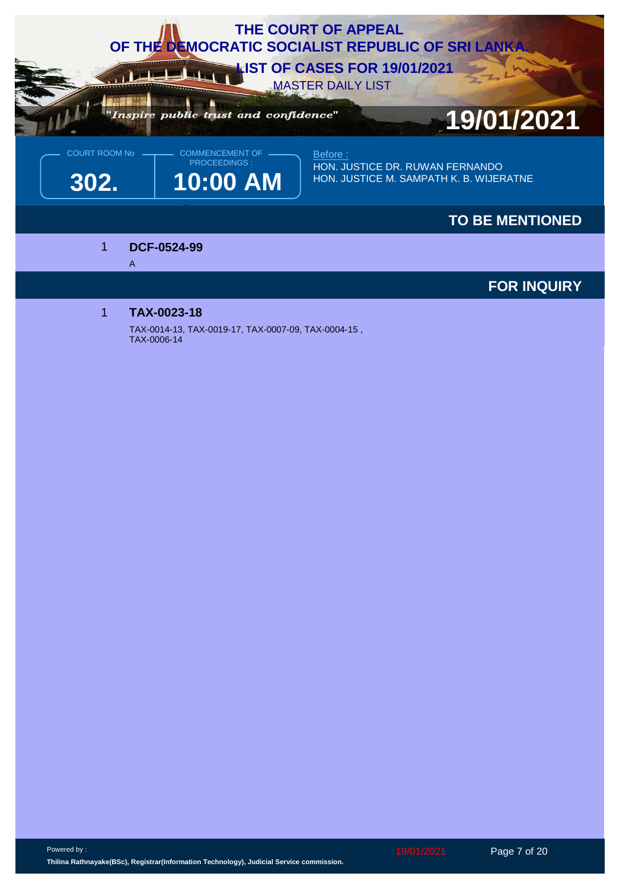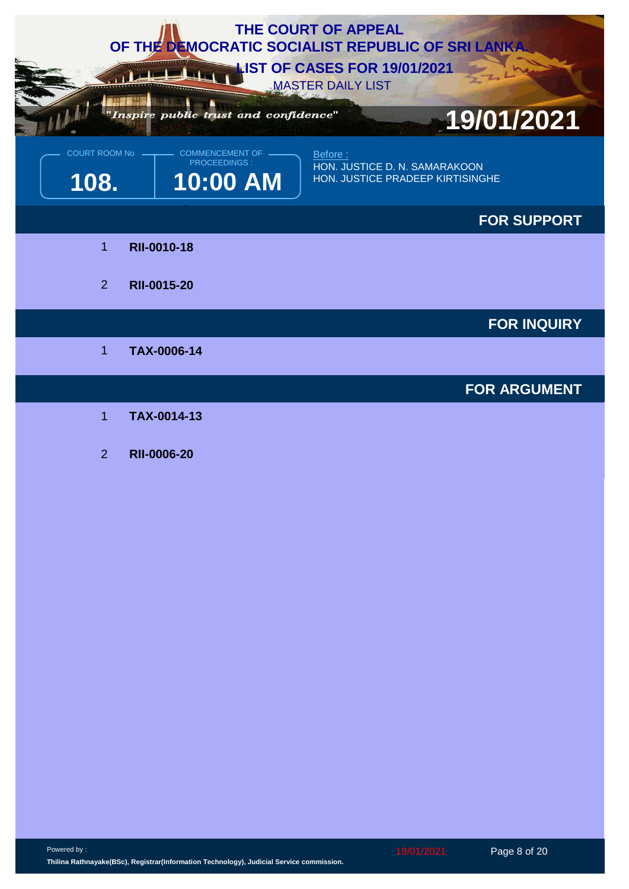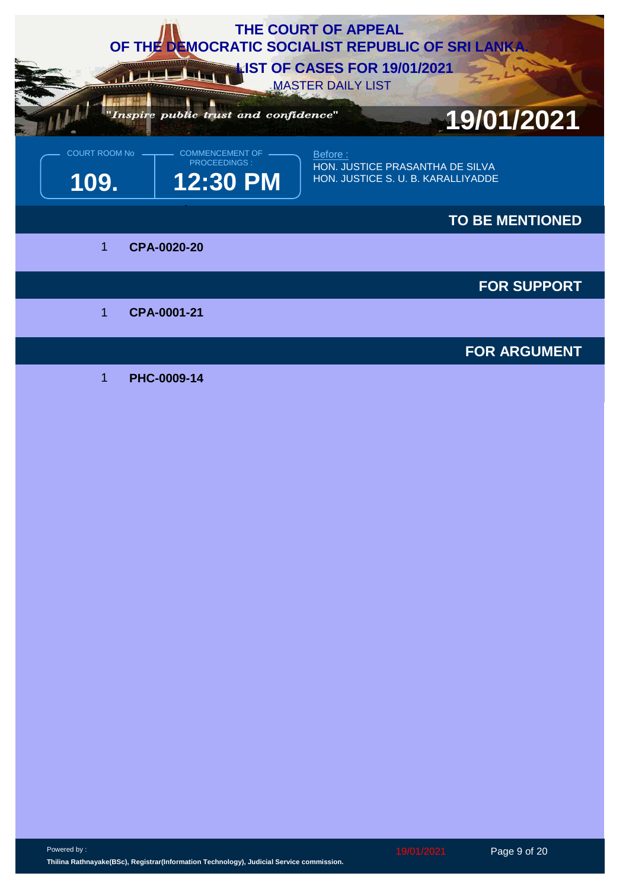

Powered by :

19/01/2021 Page 9 of 20

**Thilina Rathnayake(BSc), Registrar(Information Technology), Judicial Service commission.**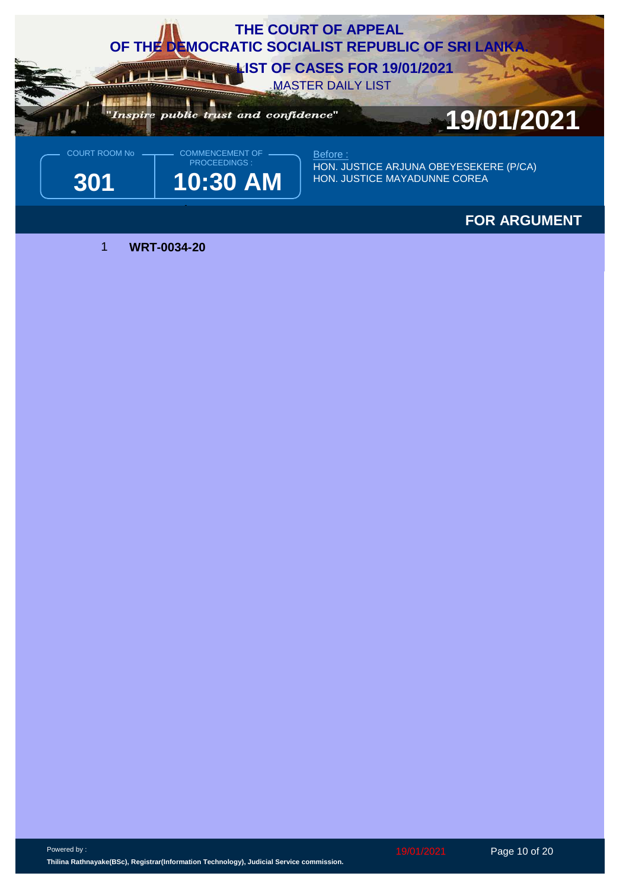

## **FOR ARGUMENT**

1 **WRT-0034-20**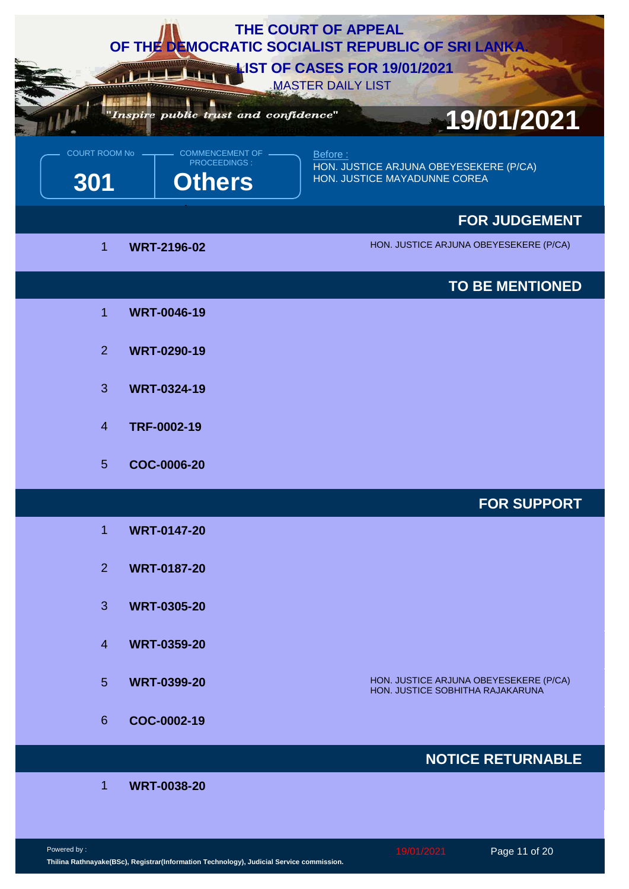| <b>THE COURT OF APPEAL</b><br>OF THE DEMOCRATIC SOCIALIST REPUBLIC OF SRI LANKA.<br><b>NIST OF CASES FOR 19/01/2021</b><br><b>MASTER DAILY LIST</b> |                                                         |                                                                                   |  |  |
|-----------------------------------------------------------------------------------------------------------------------------------------------------|---------------------------------------------------------|-----------------------------------------------------------------------------------|--|--|
|                                                                                                                                                     | Inspire public trust and confidence"                    | 19/01/2021                                                                        |  |  |
| COURT ROOM No<br>301                                                                                                                                | <b>COMMENCEMENT OF</b><br>PROCEEDINGS:<br><b>Others</b> | Before:<br>HON. JUSTICE ARJUNA OBEYESEKERE (P/CA)<br>HON. JUSTICE MAYADUNNE COREA |  |  |
|                                                                                                                                                     |                                                         | <b>FOR JUDGEMENT</b>                                                              |  |  |
| 1                                                                                                                                                   | <b>WRT-2196-02</b>                                      | HON. JUSTICE ARJUNA OBEYESEKERE (P/CA)                                            |  |  |
|                                                                                                                                                     |                                                         | <b>TO BE MENTIONED</b>                                                            |  |  |
| $\overline{1}$                                                                                                                                      | <b>WRT-0046-19</b>                                      |                                                                                   |  |  |
| 2                                                                                                                                                   | <b>WRT-0290-19</b>                                      |                                                                                   |  |  |
| 3                                                                                                                                                   | <b>WRT-0324-19</b>                                      |                                                                                   |  |  |
| $\overline{4}$                                                                                                                                      | TRF-0002-19                                             |                                                                                   |  |  |
| 5                                                                                                                                                   | COC-0006-20                                             |                                                                                   |  |  |
|                                                                                                                                                     |                                                         | <b>FOR SUPPORT</b>                                                                |  |  |
| 1                                                                                                                                                   | <b>WRT-0147-20</b>                                      |                                                                                   |  |  |
| 2 <sup>1</sup>                                                                                                                                      | <b>WRT-0187-20</b>                                      |                                                                                   |  |  |
| 3                                                                                                                                                   | <b>WRT-0305-20</b>                                      |                                                                                   |  |  |
| $\overline{4}$                                                                                                                                      | <b>WRT-0359-20</b>                                      |                                                                                   |  |  |
| 5                                                                                                                                                   | <b>WRT-0399-20</b>                                      | HON. JUSTICE ARJUNA OBEYESEKERE (P/CA)<br>HON. JUSTICE SOBHITHA RAJAKARUNA        |  |  |
| 6                                                                                                                                                   | COC-0002-19                                             |                                                                                   |  |  |
|                                                                                                                                                     |                                                         | <b>NOTICE RETURNABLE</b>                                                          |  |  |
| 1                                                                                                                                                   | <b>WRT-0038-20</b>                                      |                                                                                   |  |  |
|                                                                                                                                                     |                                                         |                                                                                   |  |  |

Powered by : **Thilina Rathnayake(BSc), Registrar(Information Technology), Judicial Service commission.**

19/01/2021 Page 11 of 20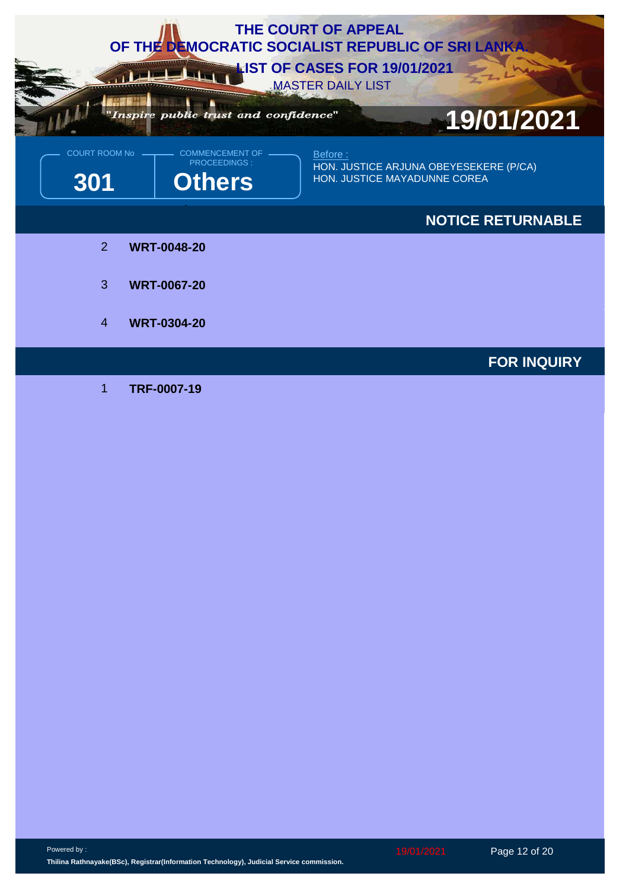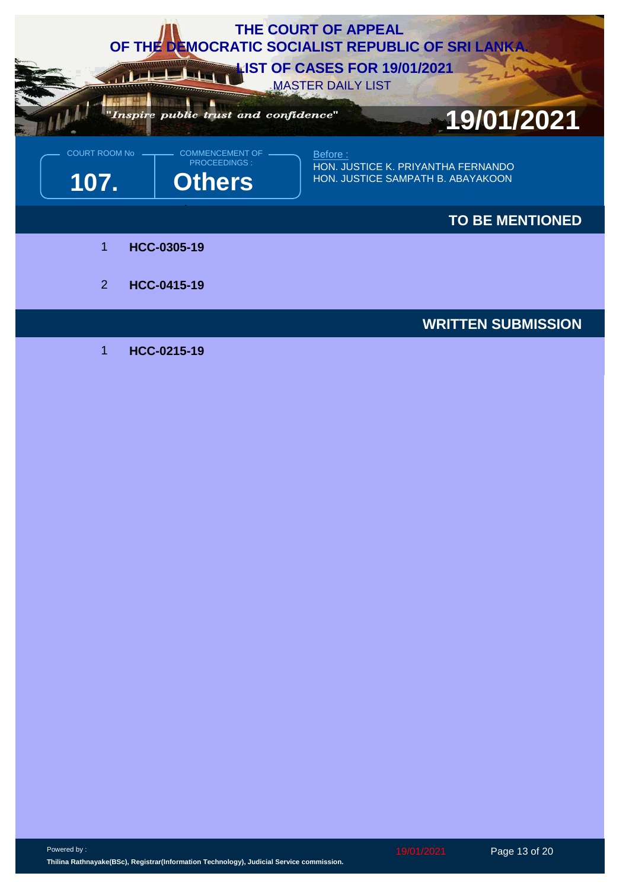

Powered by :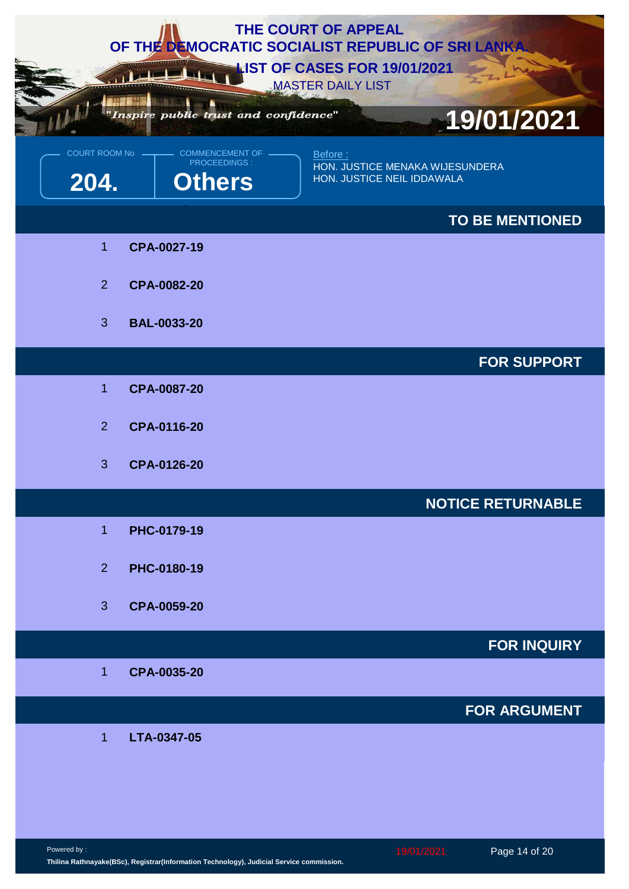| THE COURT OF APPEAL<br>OF THE DEMOCRATIC SOCIALIST REPUBLIC OF SRI LANKA.<br><b>NIST OF CASES FOR 19/01/2021</b><br><b>MASTER DAILY LIST</b> |                                                         |                                                                          |  |  |  |
|----------------------------------------------------------------------------------------------------------------------------------------------|---------------------------------------------------------|--------------------------------------------------------------------------|--|--|--|
|                                                                                                                                              | Inspire public trust and confidence"                    | 19/01/2021                                                               |  |  |  |
| <b>COURT ROOM No</b><br>204.                                                                                                                 | COMMENCEMENT OF<br><b>PROCEEDINGS:</b><br><b>Others</b> | Before:<br>HON. JUSTICE MENAKA WIJESUNDERA<br>HON. JUSTICE NEIL IDDAWALA |  |  |  |
|                                                                                                                                              |                                                         | <b>TO BE MENTIONED</b>                                                   |  |  |  |
| $\overline{1}$                                                                                                                               | CPA-0027-19                                             |                                                                          |  |  |  |
| 2 <sup>1</sup>                                                                                                                               | CPA-0082-20                                             |                                                                          |  |  |  |
| 3                                                                                                                                            | <b>BAL-0033-20</b>                                      |                                                                          |  |  |  |
|                                                                                                                                              |                                                         | <b>FOR SUPPORT</b>                                                       |  |  |  |
| $\overline{1}$                                                                                                                               | CPA-0087-20                                             |                                                                          |  |  |  |
| 2                                                                                                                                            | CPA-0116-20                                             |                                                                          |  |  |  |
| 3                                                                                                                                            | CPA-0126-20                                             |                                                                          |  |  |  |
|                                                                                                                                              |                                                         | <b>NOTICE RETURNABLE</b>                                                 |  |  |  |
| $\overline{1}$                                                                                                                               | PHC-0179-19                                             |                                                                          |  |  |  |
| 2 <sup>1</sup>                                                                                                                               | PHC-0180-19                                             |                                                                          |  |  |  |
| 3                                                                                                                                            | CPA-0059-20                                             |                                                                          |  |  |  |
|                                                                                                                                              |                                                         | <b>FOR INQUIRY</b>                                                       |  |  |  |
| $\overline{1}$                                                                                                                               | CPA-0035-20                                             |                                                                          |  |  |  |
|                                                                                                                                              |                                                         | <b>FOR ARGUMENT</b>                                                      |  |  |  |
| $\overline{1}$                                                                                                                               | LTA-0347-05                                             |                                                                          |  |  |  |
|                                                                                                                                              |                                                         |                                                                          |  |  |  |
|                                                                                                                                              |                                                         |                                                                          |  |  |  |

Powered by : **Thilina Rathnayake(BSc), Registrar(Information Technology), Judicial Service commission.**

19/01/2021 Page 14 of 20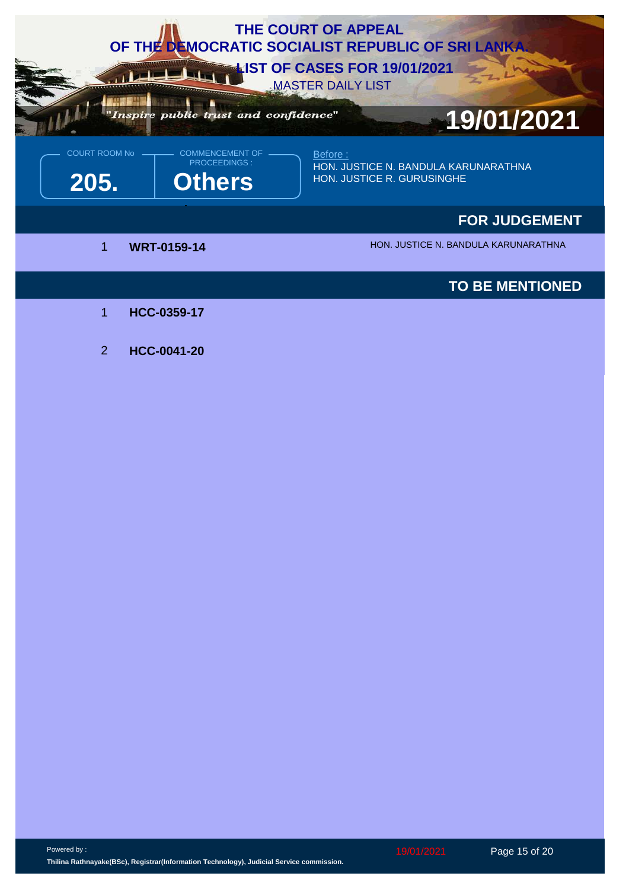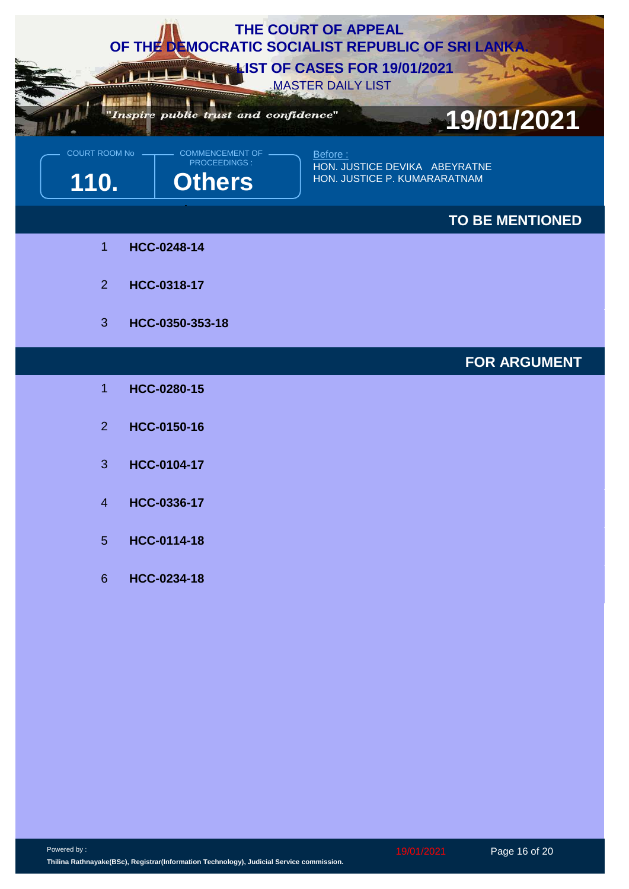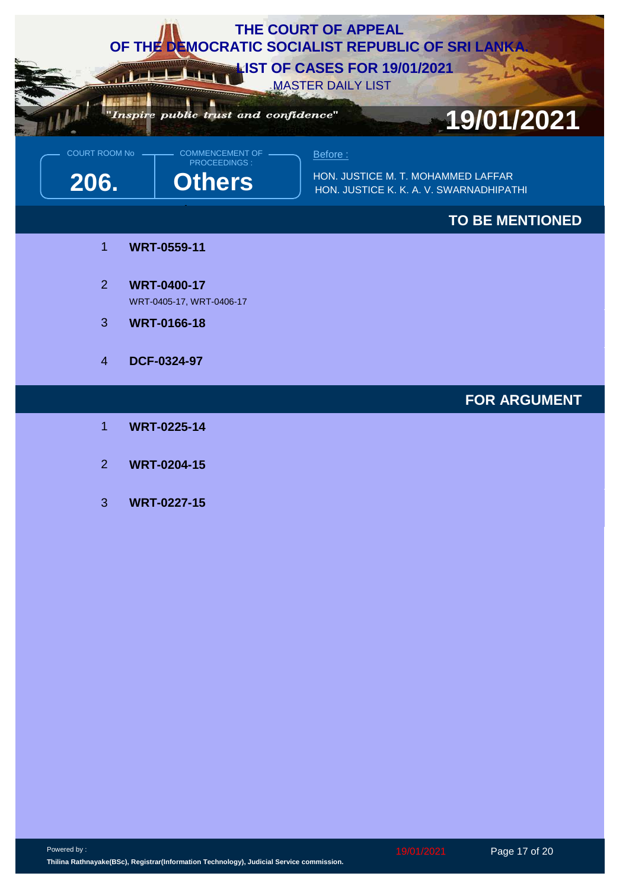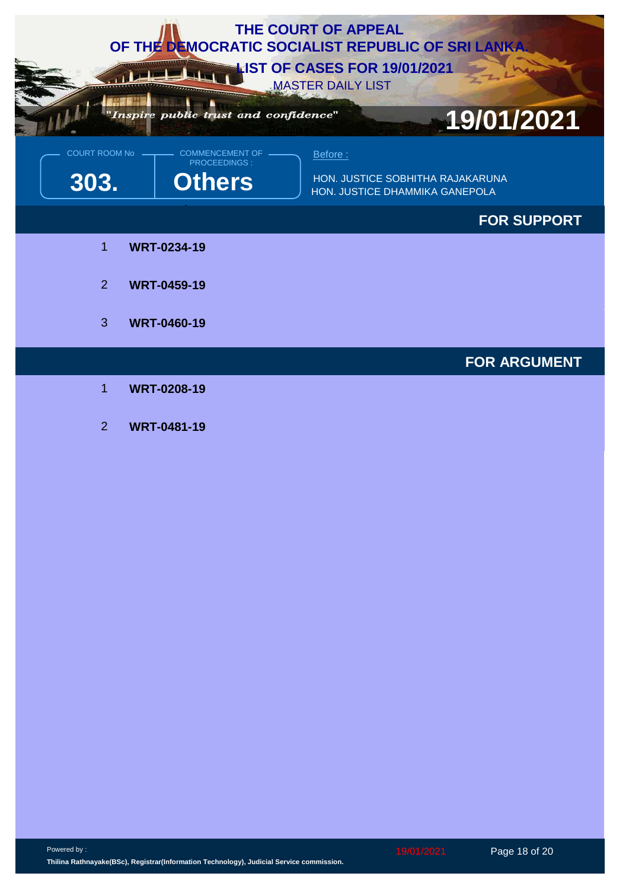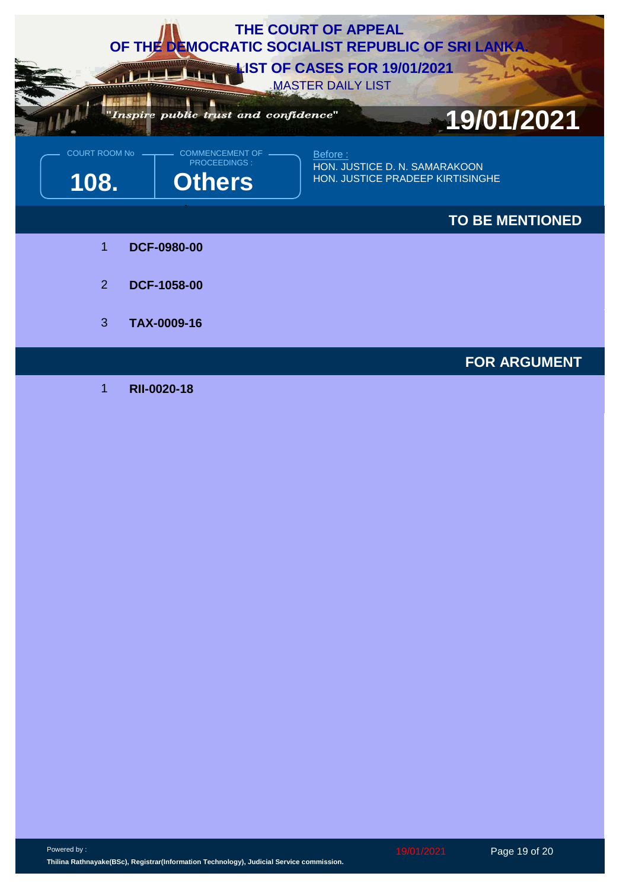

1 **RII-0020-18**